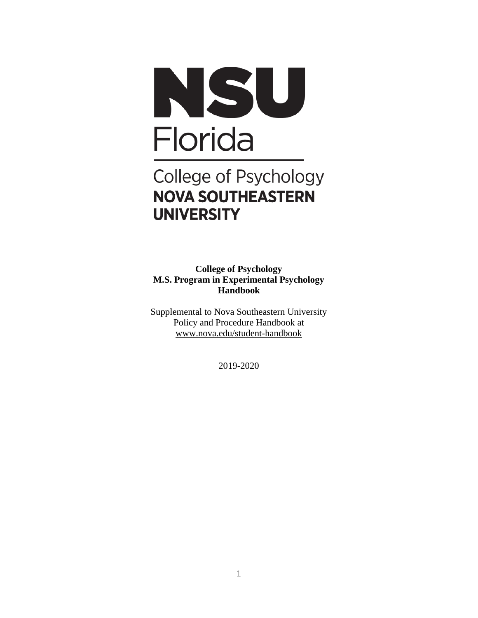

# College of Psychology **NOVA SOUTHEASTERN UNIVERSITY**

**College of Psychology M.S. Program in Experimental Psychology Handbook**

Supplemental to Nova Southeastern University Policy and Procedure Handbook at [www.nova.edu/student-handbook](https://na01.safelinks.protection.outlook.com/?url=http%3A%2F%2Fwww.nova.edu%2Fstudent-handbook&data=02%7C01%7C%7C260e8f946d704be72e0808d5fc754aea%7C2c2b2d312e3e4df1b571fb37c042ff1b%7C0%7C0%7C636692503073252903&sdata=EH9dsovfdzTOGuJObPBmc0cLj4uZDz9qOYolQKlLKIM%3D&reserved=0)

2019-2020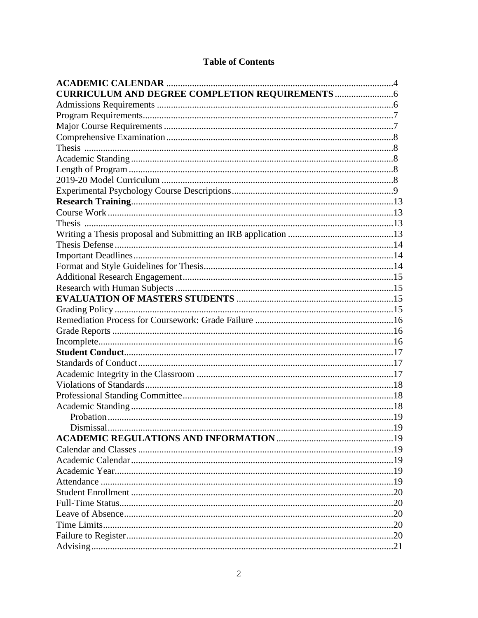#### **Table of Contents**

| <b>CURRICULUM AND DEGREE COMPLETION REQUIREMENTS </b> |  |
|-------------------------------------------------------|--|
|                                                       |  |
|                                                       |  |
|                                                       |  |
|                                                       |  |
|                                                       |  |
|                                                       |  |
|                                                       |  |
|                                                       |  |
|                                                       |  |
|                                                       |  |
|                                                       |  |
|                                                       |  |
|                                                       |  |
|                                                       |  |
|                                                       |  |
|                                                       |  |
|                                                       |  |
|                                                       |  |
|                                                       |  |
|                                                       |  |
|                                                       |  |
|                                                       |  |
|                                                       |  |
|                                                       |  |
|                                                       |  |
|                                                       |  |
|                                                       |  |
|                                                       |  |
|                                                       |  |
|                                                       |  |
|                                                       |  |
|                                                       |  |
|                                                       |  |
|                                                       |  |
|                                                       |  |
|                                                       |  |
|                                                       |  |
|                                                       |  |
|                                                       |  |
|                                                       |  |
|                                                       |  |
|                                                       |  |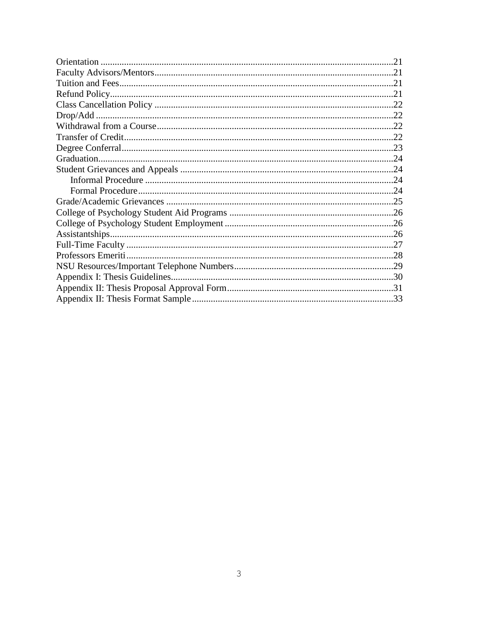| Professors Emeriti |  |
|--------------------|--|
|                    |  |
|                    |  |
|                    |  |
|                    |  |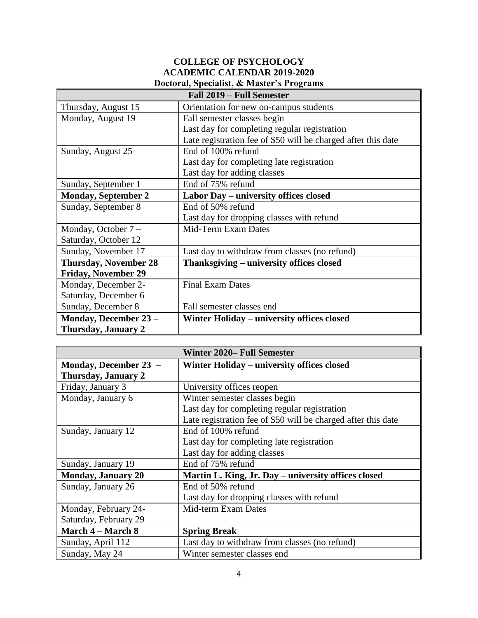#### **COLLEGE OF PSYCHOLOGY ACADEMIC CALENDAR 2019-2020 Doctoral, Specialist, & Master's Programs**

| Fall 2019 – Full Semester    |                                                               |  |
|------------------------------|---------------------------------------------------------------|--|
| Thursday, August 15          | Orientation for new on-campus students                        |  |
| Monday, August 19            | Fall semester classes begin                                   |  |
|                              | Last day for completing regular registration                  |  |
|                              | Late registration fee of \$50 will be charged after this date |  |
| Sunday, August 25            | End of 100% refund                                            |  |
|                              | Last day for completing late registration                     |  |
|                              | Last day for adding classes                                   |  |
| Sunday, September 1          | End of 75% refund                                             |  |
| <b>Monday, September 2</b>   | Labor Day – university offices closed                         |  |
| Sunday, September 8          | End of 50% refund                                             |  |
|                              | Last day for dropping classes with refund                     |  |
| Monday, October $7 -$        | Mid-Term Exam Dates                                           |  |
| Saturday, October 12         |                                                               |  |
| Sunday, November 17          | Last day to withdraw from classes (no refund)                 |  |
| <b>Thursday, November 28</b> | Thanksgiving – university offices closed                      |  |
| <b>Friday, November 29</b>   |                                                               |  |
| Monday, December 2-          | <b>Final Exam Dates</b>                                       |  |
| Saturday, December 6         |                                                               |  |
| Sunday, December 8           | Fall semester classes end                                     |  |
| Monday, December 23 -        | Winter Holiday – university offices closed                    |  |
| Thursday, January 2          |                                                               |  |

| <b>Winter 2020– Full Semester</b> |                                                               |  |
|-----------------------------------|---------------------------------------------------------------|--|
| Monday, December 23 -             | Winter Holiday – university offices closed                    |  |
| Thursday, January 2               |                                                               |  |
| Friday, January 3                 | University offices reopen                                     |  |
| Monday, January 6                 | Winter semester classes begin                                 |  |
|                                   | Last day for completing regular registration                  |  |
|                                   | Late registration fee of \$50 will be charged after this date |  |
| Sunday, January 12                | End of 100% refund                                            |  |
|                                   | Last day for completing late registration                     |  |
|                                   | Last day for adding classes                                   |  |
| Sunday, January 19                | End of 75% refund                                             |  |
| <b>Monday, January 20</b>         | Martin L. King, Jr. Day – university offices closed           |  |
| Sunday, January 26                | End of 50% refund                                             |  |
|                                   | Last day for dropping classes with refund                     |  |
| Monday, February 24-              | Mid-term Exam Dates                                           |  |
| Saturday, February 29             |                                                               |  |
| <b>March 4 – March 8</b>          | <b>Spring Break</b>                                           |  |
| Sunday, April 112                 | Last day to withdraw from classes (no refund)                 |  |
| Sunday, May 24                    | Winter semester classes end                                   |  |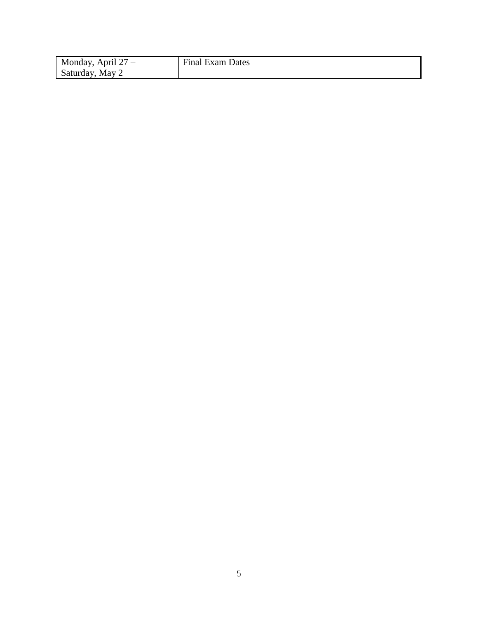| Monday, April $27 -$ | <b>Final Exam Dates</b> |
|----------------------|-------------------------|
| Saturday, May 2      |                         |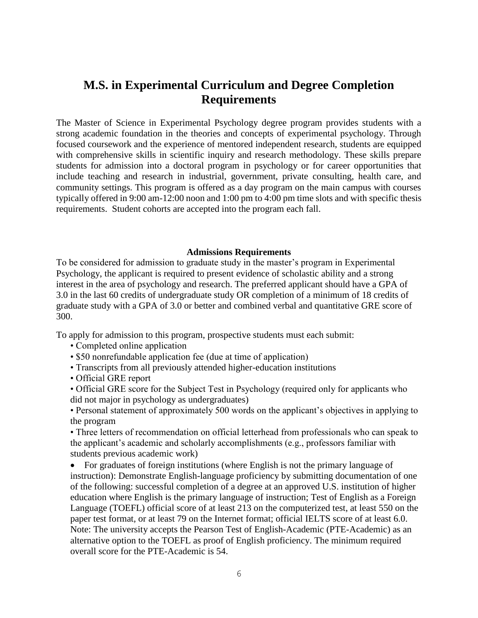### **M.S. in Experimental Curriculum and Degree Completion Requirements**

The Master of Science in Experimental Psychology degree program provides students with a strong academic foundation in the theories and concepts of experimental psychology. Through focused coursework and the experience of mentored independent research, students are equipped with comprehensive skills in scientific inquiry and research methodology. These skills prepare students for admission into a doctoral program in psychology or for career opportunities that include teaching and research in industrial, government, private consulting, health care, and community settings. This program is offered as a day program on the main campus with courses typically offered in 9:00 am-12:00 noon and 1:00 pm to 4:00 pm time slots and with specific thesis requirements. Student cohorts are accepted into the program each fall.

#### **Admissions Requirements**

To be considered for admission to graduate study in the master's program in Experimental Psychology, the applicant is required to present evidence of scholastic ability and a strong interest in the area of psychology and research. The preferred applicant should have a GPA of 3.0 in the last 60 credits of undergraduate study OR completion of a minimum of 18 credits of graduate study with a GPA of 3.0 or better and combined verbal and quantitative GRE score of 300.

To apply for admission to this program, prospective students must each submit:

- Completed online application
- \$50 nonrefundable application fee (due at time of application)
- Transcripts from all previously attended higher-education institutions
- Official GRE report
- Official GRE score for the Subject Test in Psychology (required only for applicants who did not major in psychology as undergraduates)

• Personal statement of approximately 500 words on the applicant's objectives in applying to the program

• Three letters of recommendation on official letterhead from professionals who can speak to the applicant's academic and scholarly accomplishments (e.g., professors familiar with students previous academic work)

 For graduates of foreign institutions (where English is not the primary language of instruction): Demonstrate English-language proficiency by submitting documentation of one of the following: successful completion of a degree at an approved U.S. institution of higher education where English is the primary language of instruction; Test of English as a Foreign Language (TOEFL) official score of at least 213 on the computerized test, at least 550 on the paper test format, or at least 79 on the Internet format; official IELTS score of at least 6.0. Note: The university accepts the Pearson Test of English-Academic (PTE-Academic) as an alternative option to the TOEFL as proof of English proficiency. The minimum required overall score for the PTE-Academic is 54.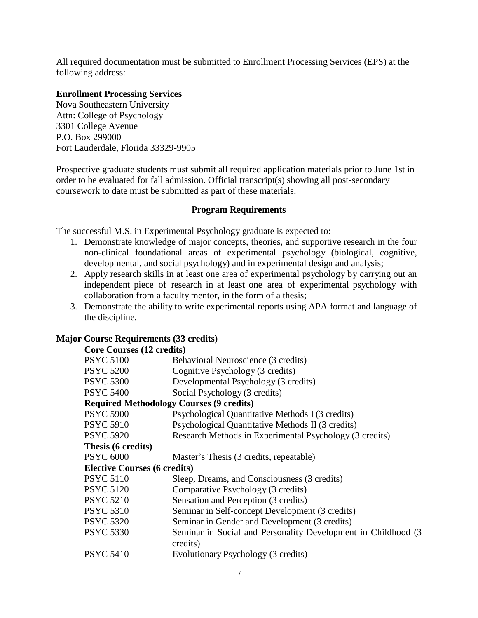All required documentation must be submitted to Enrollment Processing Services (EPS) at the following address:

#### **Enrollment Processing Services**

Nova Southeastern University Attn: College of Psychology 3301 College Avenue P.O. Box 299000 Fort Lauderdale, Florida 33329-9905

Prospective graduate students must submit all required application materials prior to June 1st in order to be evaluated for fall admission. Official transcript(s) showing all post-secondary coursework to date must be submitted as part of these materials.

#### **Program Requirements**

The successful M.S. in Experimental Psychology graduate is expected to:

- 1. Demonstrate knowledge of major concepts, theories, and supportive research in the four non-clinical foundational areas of experimental psychology (biological, cognitive, developmental, and social psychology) and in experimental design and analysis;
- 2. Apply research skills in at least one area of experimental psychology by carrying out an independent piece of research in at least one area of experimental psychology with collaboration from a faculty mentor, in the form of a thesis;
- 3. Demonstrate the ability to write experimental reports using APA format and language of the discipline.

## **Major Course Requirements (33 credits)**

| <b>Core Courses (12 credits)</b>                |                                                                |  |
|-------------------------------------------------|----------------------------------------------------------------|--|
| <b>PSYC 5100</b>                                | Behavioral Neuroscience (3 credits)                            |  |
| <b>PSYC 5200</b>                                | Cognitive Psychology (3 credits)                               |  |
| <b>PSYC 5300</b>                                | Developmental Psychology (3 credits)                           |  |
| <b>PSYC 5400</b>                                | Social Psychology (3 credits)                                  |  |
| <b>Required Methodology Courses (9 credits)</b> |                                                                |  |
| <b>PSYC 5900</b>                                | Psychological Quantitative Methods I (3 credits)               |  |
| <b>PSYC 5910</b>                                | Psychological Quantitative Methods II (3 credits)              |  |
| <b>PSYC 5920</b>                                | Research Methods in Experimental Psychology (3 credits)        |  |
| Thesis (6 credits)                              |                                                                |  |
| <b>PSYC 6000</b>                                | Master's Thesis (3 credits, repeatable)                        |  |
| <b>Elective Courses (6 credits)</b>             |                                                                |  |
| <b>PSYC 5110</b>                                | Sleep, Dreams, and Consciousness (3 credits)                   |  |
| <b>PSYC 5120</b>                                | Comparative Psychology (3 credits)                             |  |
| <b>PSYC 5210</b>                                | Sensation and Perception (3 credits)                           |  |
| <b>PSYC 5310</b>                                | Seminar in Self-concept Development (3 credits)                |  |
| <b>PSYC 5320</b>                                | Seminar in Gender and Development (3 credits)                  |  |
| <b>PSYC 5330</b>                                | Seminar in Social and Personality Development in Childhood (3) |  |
|                                                 | credits)                                                       |  |
| <b>PSYC 5410</b>                                | Evolutionary Psychology (3 credits)                            |  |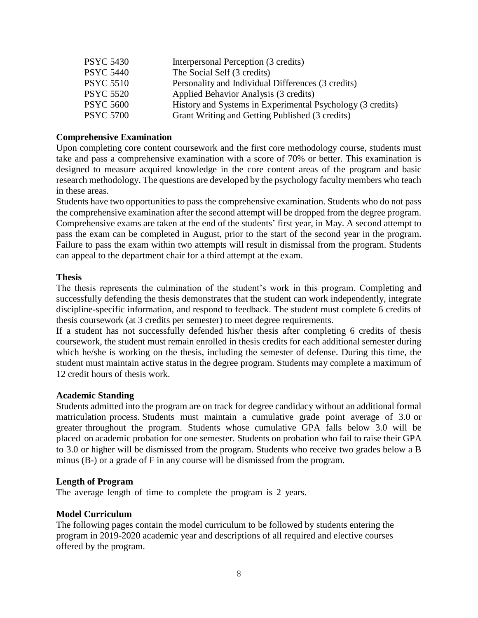| <b>PSYC 5430</b> | Interpersonal Perception (3 credits)                       |
|------------------|------------------------------------------------------------|
| <b>PSYC 5440</b> | The Social Self (3 credits)                                |
| <b>PSYC 5510</b> | Personality and Individual Differences (3 credits)         |
| <b>PSYC 5520</b> | Applied Behavior Analysis (3 credits)                      |
| <b>PSYC 5600</b> | History and Systems in Experimental Psychology (3 credits) |
| <b>PSYC 5700</b> | Grant Writing and Getting Published (3 credits)            |

#### **Comprehensive Examination**

Upon completing core content coursework and the first core methodology course, students must take and pass a comprehensive examination with a score of 70% or better. This examination is designed to measure acquired knowledge in the core content areas of the program and basic research methodology. The questions are developed by the psychology faculty members who teach in these areas.

Students have two opportunities to pass the comprehensive examination. Students who do not pass the comprehensive examination after the second attempt will be dropped from the degree program. Comprehensive exams are taken at the end of the students' first year, in May. A second attempt to pass the exam can be completed in August, prior to the start of the second year in the program. Failure to pass the exam within two attempts will result in dismissal from the program. Students can appeal to the department chair for a third attempt at the exam.

#### **Thesis**

The thesis represents the culmination of the student's work in this program. Completing and successfully defending the thesis demonstrates that the student can work independently, integrate discipline-specific information, and respond to feedback. The student must complete 6 credits of thesis coursework (at 3 credits per semester) to meet degree requirements.

If a student has not successfully defended his/her thesis after completing 6 credits of thesis coursework, the student must remain enrolled in thesis credits for each additional semester during which he/she is working on the thesis, including the semester of defense. During this time, the student must maintain active status in the degree program. Students may complete a maximum of 12 credit hours of thesis work.

#### **Academic Standing**

Students admitted into the program are on track for degree candidacy without an additional formal matriculation process. Students must maintain a cumulative grade point average of 3.0 or greater throughout the program. Students whose cumulative GPA falls below 3.0 will be placed on academic probation for one semester. Students on probation who fail to raise their GPA to 3.0 or higher will be dismissed from the program. Students who receive two grades below a B minus (B-) or a grade of F in any course will be dismissed from the program.

#### **Length of Program**

The average length of time to complete the program is 2 years.

#### **Model Curriculum**

The following pages contain the model curriculum to be followed by students entering the program in 2019-2020 academic year and descriptions of all required and elective courses offered by the program.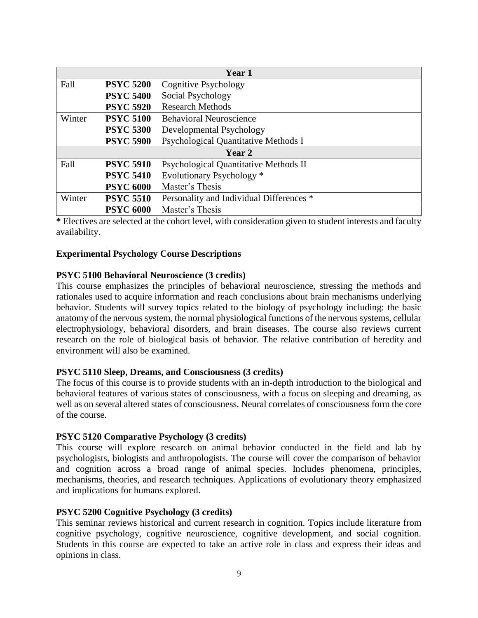| Year 1 |                  |                                          |
|--------|------------------|------------------------------------------|
| Fall   | <b>PSYC 5200</b> | Cognitive Psychology                     |
|        | <b>PSYC 5400</b> | Social Psychology                        |
|        | <b>PSYC 5920</b> | <b>Research Methods</b>                  |
| Winter | <b>PSYC 5100</b> | <b>Behavioral Neuroscience</b>           |
|        | <b>PSYC 5300</b> | Developmental Psychology                 |
|        | <b>PSYC 5900</b> | Psychological Quantitative Methods I     |
| Year 2 |                  |                                          |
| Fall   | <b>PSYC 5910</b> | Psychological Quantitative Methods II    |
|        | <b>PSYC 5410</b> | Evolutionary Psychology <sup>*</sup>     |
|        | <b>PSYC 6000</b> | Master's Thesis                          |
| Winter | <b>PSYC 5510</b> | Personality and Individual Differences * |
|        | <b>PSYC 6000</b> | Master's Thesis                          |

**\*** Electives are selected at the cohort level, with consideration given to student interests and faculty availability.

#### **Experimental Psychology Course Descriptions**

#### **PSYC 5100 Behavioral Neuroscience (3 credits)**

This course emphasizes the principles of behavioral neuroscience, stressing the methods and rationales used to acquire information and reach conclusions about brain mechanisms underlying behavior. Students will survey topics related to the biology of psychology including: the basic anatomy of the nervous system, the normal physiological functions of the nervous systems, cellular electrophysiology, behavioral disorders, and brain diseases. The course also reviews current research on the role of biological basis of behavior. The relative contribution of heredity and environment will also be examined.

#### **PSYC 5110 Sleep, Dreams, and Consciousness (3 credits)**

The focus of this course is to provide students with an in-depth introduction to the biological and behavioral features of various states of consciousness, with a focus on sleeping and dreaming, as well as on several altered states of consciousness. Neural correlates of consciousness form the core of the course.

#### **PSYC 5120 Comparative Psychology (3 credits)**

This course will explore research on animal behavior conducted in the field and lab by psychologists, biologists and anthropologists. The course will cover the comparison of behavior and cognition across a broad range of animal species. Includes phenomena, principles, mechanisms, theories, and research techniques. Applications of evolutionary theory emphasized and implications for humans explored.

#### **PSYC 5200 Cognitive Psychology (3 credits)**

This seminar reviews historical and current research in cognition. Topics include literature from cognitive psychology, cognitive neuroscience, cognitive development, and social cognition. Students in this course are expected to take an active role in class and express their ideas and opinions in class.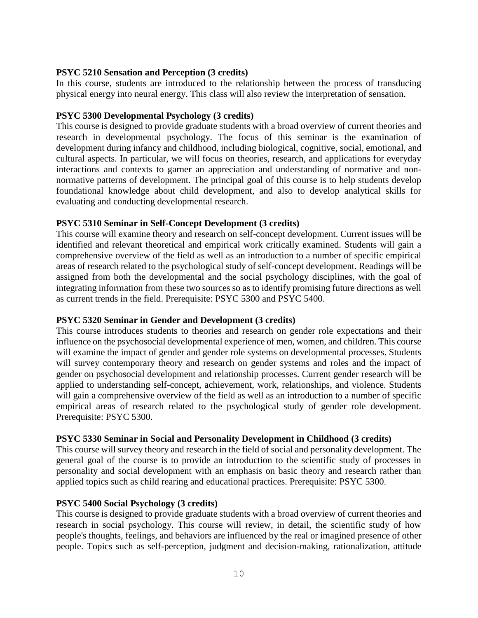#### **PSYC 5210 Sensation and Perception (3 credits)**

In this course, students are introduced to the relationship between the process of transducing physical energy into neural energy. This class will also review the interpretation of sensation.

#### **PSYC 5300 Developmental Psychology (3 credits)**

This course is designed to provide graduate students with a broad overview of current theories and research in developmental psychology. The focus of this seminar is the examination of development during infancy and childhood, including biological, cognitive, social, emotional, and cultural aspects. In particular, we will focus on theories, research, and applications for everyday interactions and contexts to garner an appreciation and understanding of normative and nonnormative patterns of development. The principal goal of this course is to help students develop foundational knowledge about child development, and also to develop analytical skills for evaluating and conducting developmental research.

#### **PSYC 5310 Seminar in Self-Concept Development (3 credits)**

This course will examine theory and research on self-concept development. Current issues will be identified and relevant theoretical and empirical work critically examined. Students will gain a comprehensive overview of the field as well as an introduction to a number of specific empirical areas of research related to the psychological study of self-concept development. Readings will be assigned from both the developmental and the social psychology disciplines, with the goal of integrating information from these two sources so as to identify promising future directions as well as current trends in the field. Prerequisite: PSYC 5300 and PSYC 5400.

#### **PSYC 5320 Seminar in Gender and Development (3 credits)**

This course introduces students to theories and research on gender role expectations and their influence on the psychosocial developmental experience of men, women, and children. This course will examine the impact of gender and gender role systems on developmental processes. Students will survey contemporary theory and research on gender systems and roles and the impact of gender on psychosocial development and relationship processes. Current gender research will be applied to understanding self-concept, achievement, work, relationships, and violence. Students will gain a comprehensive overview of the field as well as an introduction to a number of specific empirical areas of research related to the psychological study of gender role development. Prerequisite: PSYC 5300.

#### **PSYC 5330 Seminar in Social and Personality Development in Childhood (3 credits)**

This course will survey theory and research in the field of social and personality development. The general goal of the course is to provide an introduction to the scientific study of processes in personality and social development with an emphasis on basic theory and research rather than applied topics such as child rearing and educational practices. Prerequisite: PSYC 5300.

#### **PSYC 5400 Social Psychology (3 credits)**

This course is designed to provide graduate students with a broad overview of current theories and research in social psychology. This course will review, in detail, the scientific study of how people's thoughts, feelings, and behaviors are influenced by the real or imagined presence of other people. Topics such as self-perception, judgment and decision-making, rationalization, attitude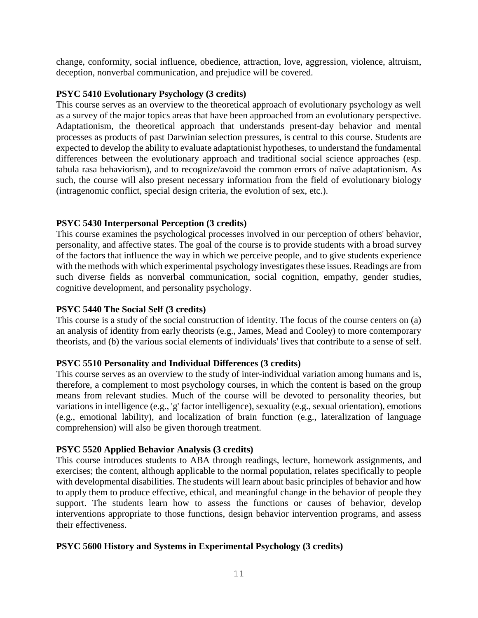change, conformity, social influence, obedience, attraction, love, aggression, violence, altruism, deception, nonverbal communication, and prejudice will be covered.

#### **PSYC 5410 Evolutionary Psychology (3 credits)**

This course serves as an overview to the theoretical approach of evolutionary psychology as well as a survey of the major topics areas that have been approached from an evolutionary perspective. Adaptationism, the theoretical approach that understands present-day behavior and mental processes as products of past Darwinian selection pressures, is central to this course. Students are expected to develop the ability to evaluate adaptationist hypotheses, to understand the fundamental differences between the evolutionary approach and traditional social science approaches (esp. tabula rasa behaviorism), and to recognize/avoid the common errors of naïve adaptationism. As such, the course will also present necessary information from the field of evolutionary biology (intragenomic conflict, special design criteria, the evolution of sex, etc.).

#### **PSYC 5430 Interpersonal Perception (3 credits)**

This course examines the psychological processes involved in our perception of others' behavior, personality, and affective states. The goal of the course is to provide students with a broad survey of the factors that influence the way in which we perceive people, and to give students experience with the methods with which experimental psychology investigates these issues. Readings are from such diverse fields as nonverbal communication, social cognition, empathy, gender studies, cognitive development, and personality psychology.

#### **PSYC 5440 The Social Self (3 credits)**

This course is a study of the social construction of identity. The focus of the course centers on (a) an analysis of identity from early theorists (e.g., James, Mead and Cooley) to more contemporary theorists, and (b) the various social elements of individuals' lives that contribute to a sense of self.

#### **PSYC 5510 Personality and Individual Differences (3 credits)**

This course serves as an overview to the study of inter-individual variation among humans and is, therefore, a complement to most psychology courses, in which the content is based on the group means from relevant studies. Much of the course will be devoted to personality theories, but variations in intelligence (e.g., 'g' factor intelligence), sexuality (e.g., sexual orientation), emotions (e.g., emotional lability), and localization of brain function (e.g., lateralization of language comprehension) will also be given thorough treatment.

#### **PSYC 5520 Applied Behavior Analysis (3 credits)**

This course introduces students to ABA through readings, lecture, homework assignments, and exercises; the content, although applicable to the normal population, relates specifically to people with developmental disabilities. The students will learn about basic principles of behavior and how to apply them to produce effective, ethical, and meaningful change in the behavior of people they support. The students learn how to assess the functions or causes of behavior, develop interventions appropriate to those functions, design behavior intervention programs, and assess their effectiveness.

#### **PSYC 5600 History and Systems in Experimental Psychology (3 credits)**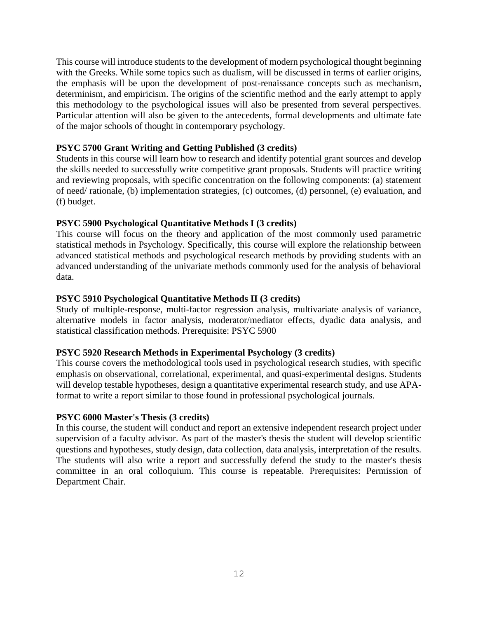This course will introduce students to the development of modern psychological thought beginning with the Greeks. While some topics such as dualism, will be discussed in terms of earlier origins, the emphasis will be upon the development of post-renaissance concepts such as mechanism, determinism, and empiricism. The origins of the scientific method and the early attempt to apply this methodology to the psychological issues will also be presented from several perspectives. Particular attention will also be given to the antecedents, formal developments and ultimate fate of the major schools of thought in contemporary psychology.

#### **PSYC 5700 Grant Writing and Getting Published (3 credits)**

Students in this course will learn how to research and identify potential grant sources and develop the skills needed to successfully write competitive grant proposals. Students will practice writing and reviewing proposals, with specific concentration on the following components: (a) statement of need/ rationale, (b) implementation strategies, (c) outcomes, (d) personnel, (e) evaluation, and (f) budget.

#### **PSYC 5900 Psychological Quantitative Methods I (3 credits)**

This course will focus on the theory and application of the most commonly used parametric statistical methods in Psychology. Specifically, this course will explore the relationship between advanced statistical methods and psychological research methods by providing students with an advanced understanding of the univariate methods commonly used for the analysis of behavioral data.

#### **PSYC 5910 Psychological Quantitative Methods II (3 credits)**

Study of multiple-response, multi-factor regression analysis, multivariate analysis of variance, alternative models in factor analysis, moderator/mediator effects, dyadic data analysis, and statistical classification methods. Prerequisite: PSYC 5900

#### **PSYC 5920 Research Methods in Experimental Psychology (3 credits)**

This course covers the methodological tools used in psychological research studies, with specific emphasis on observational, correlational, experimental, and quasi-experimental designs. Students will develop testable hypotheses, design a quantitative experimental research study, and use APAformat to write a report similar to those found in professional psychological journals.

#### **PSYC 6000 Master's Thesis (3 credits)**

In this course, the student will conduct and report an extensive independent research project under supervision of a faculty advisor. As part of the master's thesis the student will develop scientific questions and hypotheses, study design, data collection, data analysis, interpretation of the results. The students will also write a report and successfully defend the study to the master's thesis committee in an oral colloquium. This course is repeatable. Prerequisites: Permission of Department Chair.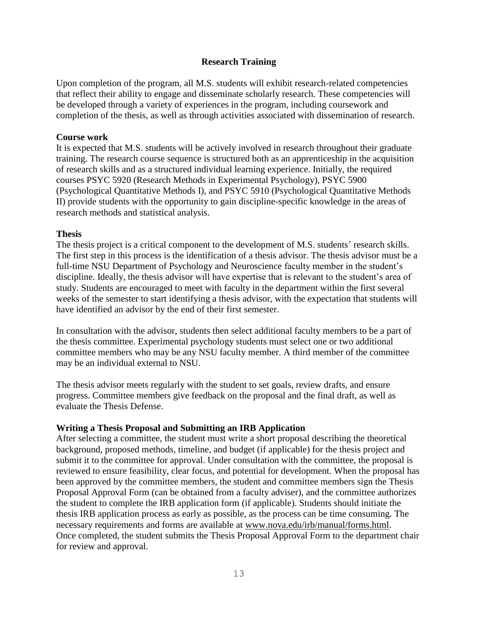#### **Research Training**

Upon completion of the program, all M.S. students will exhibit research-related competencies that reflect their ability to engage and disseminate scholarly research. These competencies will be developed through a variety of experiences in the program, including coursework and completion of the thesis, as well as through activities associated with dissemination of research.

#### **Course work**

It is expected that M.S. students will be actively involved in research throughout their graduate training. The research course sequence is structured both as an apprenticeship in the acquisition of research skills and as a structured individual learning experience. Initially, the required courses PSYC 5920 (Research Methods in Experimental Psychology), PSYC 5900 (Psychological Quantitative Methods I), and PSYC 5910 (Psychological Quantitative Methods II) provide students with the opportunity to gain discipline-specific knowledge in the areas of research methods and statistical analysis.

#### **Thesis**

The thesis project is a critical component to the development of M.S. students' research skills. The first step in this process is the identification of a thesis advisor. The thesis advisor must be a full-time NSU Department of Psychology and Neuroscience faculty member in the student's discipline. Ideally, the thesis advisor will have expertise that is relevant to the student's area of study. Students are encouraged to meet with faculty in the department within the first several weeks of the semester to start identifying a thesis advisor, with the expectation that students will have identified an advisor by the end of their first semester.

In consultation with the advisor, students then select additional faculty members to be a part of the thesis committee. Experimental psychology students must select one or two additional committee members who may be any NSU faculty member. A third member of the committee may be an individual external to NSU.

The thesis advisor meets regularly with the student to set goals, review drafts, and ensure progress. Committee members give feedback on the proposal and the final draft, as well as evaluate the Thesis Defense.

#### **Writing a Thesis Proposal and Submitting an IRB Application**

After selecting a committee, the student must write a short proposal describing the theoretical background, proposed methods, timeline, and budget (if applicable) for the thesis project and submit it to the committee for approval. Under consultation with the committee, the proposal is reviewed to ensure feasibility, clear focus, and potential for development. When the proposal has been approved by the committee members, the student and committee members sign the Thesis Proposal Approval Form (can be obtained from a faculty adviser), and the committee authorizes the student to complete the IRB application form (if applicable). Students should initiate the thesis IRB application process as early as possible, as the process can be time consuming. The necessary requirements and forms are available at [www.nova.edu/irb/manual/forms.html.](http://www.nova.edu/irb/manual/forms.html) Once completed, the student submits the Thesis Proposal Approval Form to the department chair for review and approval.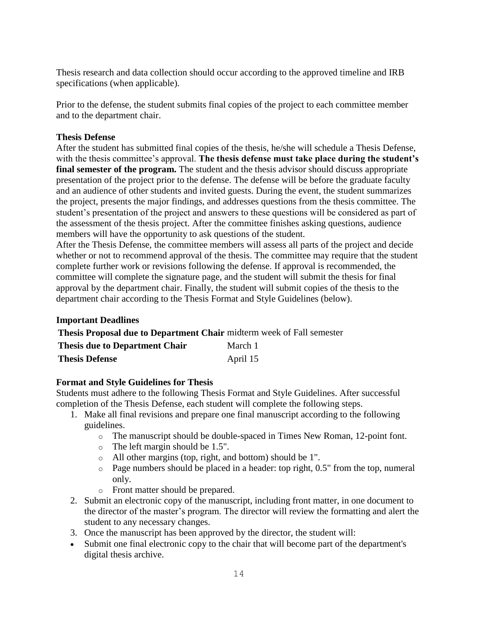Thesis research and data collection should occur according to the approved timeline and IRB specifications (when applicable).

Prior to the defense, the student submits final copies of the project to each committee member and to the department chair.

#### **Thesis Defense**

After the student has submitted final copies of the thesis, he/she will schedule a Thesis Defense, with the thesis committee's approval. **The thesis defense must take place during the student's final semester of the program.** The student and the thesis advisor should discuss appropriate presentation of the project prior to the defense. The defense will be before the graduate faculty and an audience of other students and invited guests. During the event, the student summarizes the project, presents the major findings, and addresses questions from the thesis committee. The student's presentation of the project and answers to these questions will be considered as part of the assessment of the thesis project. After the committee finishes asking questions, audience members will have the opportunity to ask questions of the student.

After the Thesis Defense, the committee members will assess all parts of the project and decide whether or not to recommend approval of the thesis. The committee may require that the student complete further work or revisions following the defense. If approval is recommended, the committee will complete the signature page, and the student will submit the thesis for final approval by the department chair. Finally, the student will submit copies of the thesis to the department chair according to the Thesis Format and Style Guidelines (below).

#### **Important Deadlines**

| Thesis Proposal due to Department Chair midterm week of Fall semester |          |
|-----------------------------------------------------------------------|----------|
| <b>Thesis due to Department Chair</b>                                 | March 1  |
| <b>Thesis Defense</b>                                                 | April 15 |

#### **Format and Style Guidelines for Thesis**

Students must adhere to the following Thesis Format and Style Guidelines. After successful completion of the Thesis Defense, each student will complete the following steps.

- 1. Make all final revisions and prepare one final manuscript according to the following guidelines.
	- o The manuscript should be double-spaced in Times New Roman, 12-point font.
	- o The left margin should be 1.5".
	- o All other margins (top, right, and bottom) should be 1".
	- $\circ$  Page numbers should be placed in a header: top right, 0.5" from the top, numeral only.
	- o Front matter should be prepared.
- 2. Submit an electronic copy of the manuscript, including front matter, in one document to the director of the master's program. The director will review the formatting and alert the student to any necessary changes.
- 3. Once the manuscript has been approved by the director, the student will:
- Submit one final electronic copy to the chair that will become part of the department's digital thesis archive.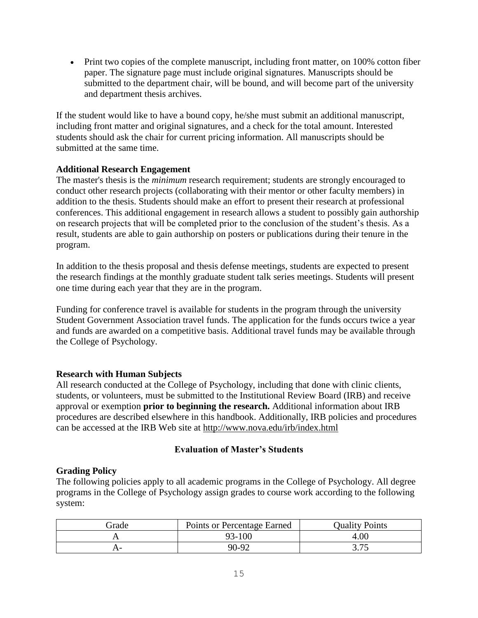Print two copies of the complete manuscript, including front matter, on 100% cotton fiber paper. The signature page must include original signatures. Manuscripts should be submitted to the department chair, will be bound, and will become part of the university and department thesis archives.

If the student would like to have a bound copy, he/she must submit an additional manuscript, including front matter and original signatures, and a check for the total amount. Interested students should ask the chair for current pricing information. All manuscripts should be submitted at the same time.

#### **Additional Research Engagement**

The master's thesis is the *minimum* research requirement; students are strongly encouraged to conduct other research projects (collaborating with their mentor or other faculty members) in addition to the thesis. Students should make an effort to present their research at professional conferences. This additional engagement in research allows a student to possibly gain authorship on research projects that will be completed prior to the conclusion of the student's thesis. As a result, students are able to gain authorship on posters or publications during their tenure in the program.

In addition to the thesis proposal and thesis defense meetings, students are expected to present the research findings at the monthly graduate student talk series meetings. Students will present one time during each year that they are in the program.

Funding for conference travel is available for students in the program through the university Student Government Association travel funds. The application for the funds occurs twice a year and funds are awarded on a competitive basis. Additional travel funds may be available through the College of Psychology.

#### **Research with Human Subjects**

All research conducted at the College of Psychology, including that done with clinic clients, students, or volunteers, must be submitted to the Institutional Review Board (IRB) and receive approval or exemption **prior to beginning the research.** Additional information about IRB procedures are described elsewhere in this handbook. Additionally, IRB policies and procedures can be accessed at the IRB Web site at <http://www.nova.edu/irb/index.html>

#### **Evaluation of Master's Students**

#### **Grading Policy**

The following policies apply to all academic programs in the College of Psychology. All degree programs in the College of Psychology assign grades to course work according to the following system:

| Frade | Points or Percentage Earned | <b>Quality Points</b> |
|-------|-----------------------------|-----------------------|
|       | 93-100                      | 4.00                  |
|       | 90-92                       | - ا د ب               |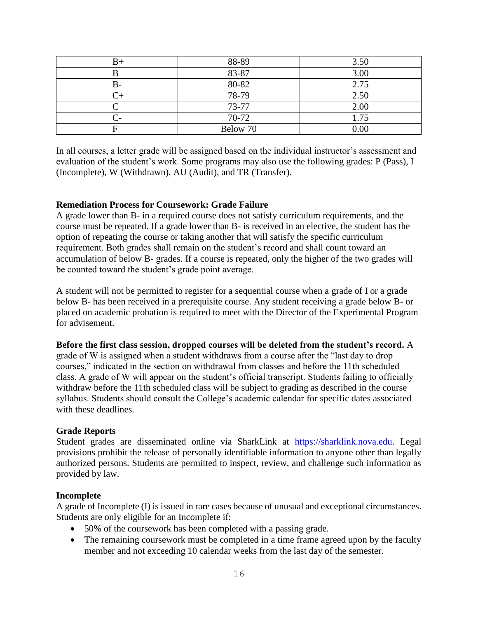| B+ | 88-89    | 3.50 |
|----|----------|------|
|    | 83-87    | 3.00 |
| В- | 80-82    | 2.75 |
|    | 78-79    | 2.50 |
|    | 73-77    | 2.00 |
|    | 70-72    | 1.75 |
|    | Below 70 | 0.00 |

In all courses, a letter grade will be assigned based on the individual instructor's assessment and evaluation of the student's work. Some programs may also use the following grades: P (Pass), I (Incomplete), W (Withdrawn), AU (Audit), and TR (Transfer).

#### **Remediation Process for Coursework: Grade Failure**

A grade lower than B- in a required course does not satisfy curriculum requirements, and the course must be repeated. If a grade lower than B- is received in an elective, the student has the option of repeating the course or taking another that will satisfy the specific curriculum requirement. Both grades shall remain on the student's record and shall count toward an accumulation of below B- grades. If a course is repeated, only the higher of the two grades will be counted toward the student's grade point average.

A student will not be permitted to register for a sequential course when a grade of I or a grade below B- has been received in a prerequisite course. Any student receiving a grade below B- or placed on academic probation is required to meet with the Director of the Experimental Program for advisement.

#### **Before the first class session, dropped courses will be deleted from the student's record.** A

grade of W is assigned when a student withdraws from a course after the "last day to drop courses," indicated in the section on withdrawal from classes and before the 11th scheduled class. A grade of W will appear on the student's official transcript. Students failing to officially withdraw before the 11th scheduled class will be subject to grading as described in the course syllabus. Students should consult the College's academic calendar for specific dates associated with these deadlines.

#### **Grade Reports**

Student grades are disseminated online via SharkLink at [https://sharklink.nova.edu.](https://sharklink.nova.edu/) Legal provisions prohibit the release of personally identifiable information to anyone other than legally authorized persons. Students are permitted to inspect, review, and challenge such information as provided by law.

#### **Incomplete**

A grade of Incomplete (I) is issued in rare cases because of unusual and exceptional circumstances. Students are only eligible for an Incomplete if:

- 50% of the coursework has been completed with a passing grade.
- The remaining coursework must be completed in a time frame agreed upon by the faculty member and not exceeding 10 calendar weeks from the last day of the semester.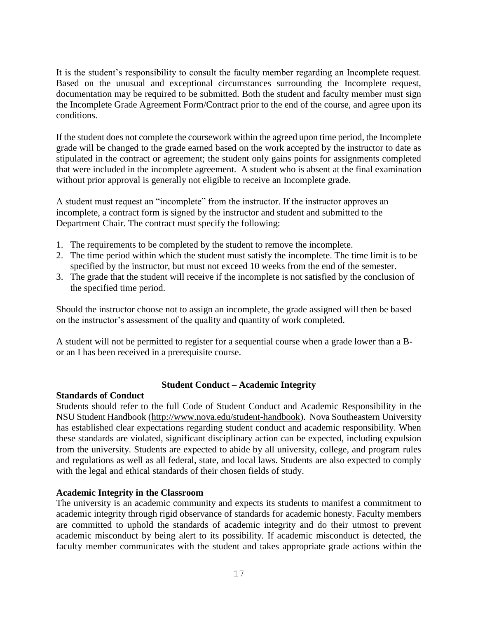It is the student's responsibility to consult the faculty member regarding an Incomplete request. Based on the unusual and exceptional circumstances surrounding the Incomplete request, documentation may be required to be submitted. Both the student and faculty member must sign the Incomplete Grade Agreement Form/Contract prior to the end of the course, and agree upon its conditions.

If the student does not complete the coursework within the agreed upon time period, the Incomplete grade will be changed to the grade earned based on the work accepted by the instructor to date as stipulated in the contract or agreement; the student only gains points for assignments completed that were included in the incomplete agreement. A student who is absent at the final examination without prior approval is generally not eligible to receive an Incomplete grade.

A student must request an "incomplete" from the instructor. If the instructor approves an incomplete, a contract form is signed by the instructor and student and submitted to the Department Chair. The contract must specify the following:

- 1. The requirements to be completed by the student to remove the incomplete.
- 2. The time period within which the student must satisfy the incomplete. The time limit is to be specified by the instructor, but must not exceed 10 weeks from the end of the semester.
- 3. The grade that the student will receive if the incomplete is not satisfied by the conclusion of the specified time period.

Should the instructor choose not to assign an incomplete, the grade assigned will then be based on the instructor's assessment of the quality and quantity of work completed.

A student will not be permitted to register for a sequential course when a grade lower than a Bor an I has been received in a prerequisite course.

#### **Student Conduct – Academic Integrity**

#### **Standards of Conduct**

Students should refer to the full Code of Student Conduct and Academic Responsibility in the NSU Student Handbook [\(http://www.nova.edu/student-handbook\)](http://www.nova.edu/student-handbook). Nova Southeastern University has established clear expectations regarding student conduct and academic responsibility. When these standards are violated, significant disciplinary action can be expected, including expulsion from the university. Students are expected to abide by all university, college, and program rules and regulations as well as all federal, state, and local laws. Students are also expected to comply with the legal and ethical standards of their chosen fields of study.

#### **Academic Integrity in the Classroom**

The university is an academic community and expects its students to manifest a commitment to academic integrity through rigid observance of standards for academic honesty. Faculty members are committed to uphold the standards of academic integrity and do their utmost to prevent academic misconduct by being alert to its possibility. If academic misconduct is detected, the faculty member communicates with the student and takes appropriate grade actions within the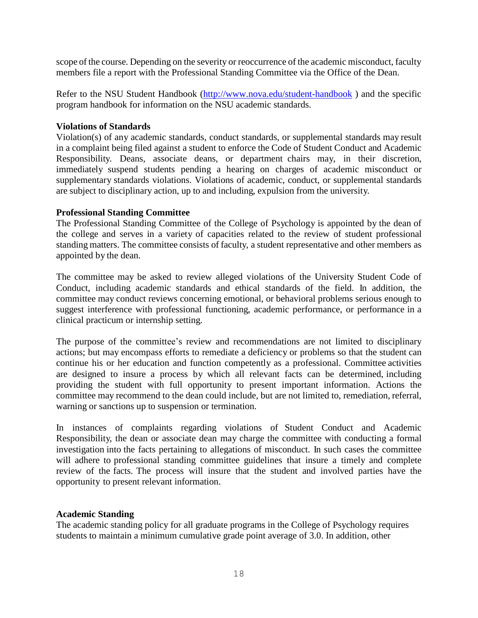scope of the course. Depending on the severity or reoccurrence of the academic misconduct, faculty members file a report with the Professional Standing Committee via the Office of the Dean.

Refer to the NSU Student Handbook [\(http://www.nova.edu/student-handbook](http://www.nova.edu/student-handbook)) and the specific program handbook for information on the NSU academic standards.

#### **Violations of Standards**

Violation(s) of any academic standards, conduct standards, or supplemental standards may result in a complaint being filed against a student to enforce the Code of Student Conduct and Academic Responsibility. Deans, associate deans, or department chairs may, in their discretion, immediately suspend students pending a hearing on charges of academic misconduct or supplementary standards violations. Violations of academic, conduct, or supplemental standards are subject to disciplinary action, up to and including, expulsion from the university.

#### **Professional Standing Committee**

The Professional Standing Committee of the College of Psychology is appointed by the dean of the college and serves in a variety of capacities related to the review of student professional standing matters. The committee consists of faculty, a student representative and other members as appointed by the dean.

The committee may be asked to review alleged violations of the University Student Code of Conduct, including academic standards and ethical standards of the field. In addition, the committee may conduct reviews concerning emotional, or behavioral problems serious enough to suggest interference with professional functioning, academic performance, or performance in a clinical practicum or internship setting.

The purpose of the committee's review and recommendations are not limited to disciplinary actions; but may encompass efforts to remediate a deficiency or problems so that the student can continue his or her education and function competently as a professional. Committee activities are designed to insure a process by which all relevant facts can be determined, including providing the student with full opportunity to present important information. Actions the committee may recommend to the dean could include, but are not limited to, remediation, referral, warning or sanctions up to suspension or termination.

In instances of complaints regarding violations of Student Conduct and Academic Responsibility, the dean or associate dean may charge the committee with conducting a formal investigation into the facts pertaining to allegations of misconduct. In such cases the committee will adhere to professional standing committee guidelines that insure a timely and complete review of the facts. The process will insure that the student and involved parties have the opportunity to present relevant information.

#### **Academic Standing**

The academic standing policy for all graduate programs in the College of Psychology requires students to maintain a minimum cumulative grade point average of 3.0. In addition, other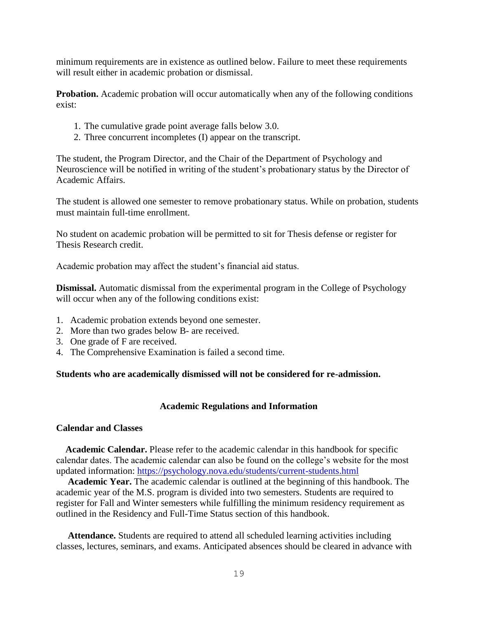minimum requirements are in existence as outlined below. Failure to meet these requirements will result either in academic probation or dismissal.

**Probation.** Academic probation will occur automatically when any of the following conditions exist:

- 1. The cumulative grade point average falls below 3.0.
- 2. Three concurrent incompletes (I) appear on the transcript.

The student, the Program Director, and the Chair of the Department of Psychology and Neuroscience will be notified in writing of the student's probationary status by the Director of Academic Affairs.

The student is allowed one semester to remove probationary status. While on probation, students must maintain full-time enrollment.

No student on academic probation will be permitted to sit for Thesis defense or register for Thesis Research credit.

Academic probation may affect the student's financial aid status.

**Dismissal.** Automatic dismissal from the experimental program in the College of Psychology will occur when any of the following conditions exist:

- 1. Academic probation extends beyond one semester.
- 2. More than two grades below B- are received.
- 3. One grade of F are received.
- 4. The Comprehensive Examination is failed a second time.

#### **Students who are academically dismissed will not be considered for re-admission.**

#### **Academic Regulations and Information**

#### **Calendar and Classes**

 **Academic Calendar.** Please refer to the academic calendar in this handbook for specific calendar dates. The academic calendar can also be found on the college's website for the most updated information:<https://psychology.nova.edu/students/current-students.html>

 **Academic Year.** The academic calendar is outlined at the beginning of this handbook. The academic year of the M.S. program is divided into two semesters. Students are required to register for Fall and Winter semesters while fulfilling the minimum residency requirement as outlined in the Residency and Full-Time Status section of this handbook.

 **Attendance.** Students are required to attend all scheduled learning activities including classes, lectures, seminars, and exams. Anticipated absences should be cleared in advance with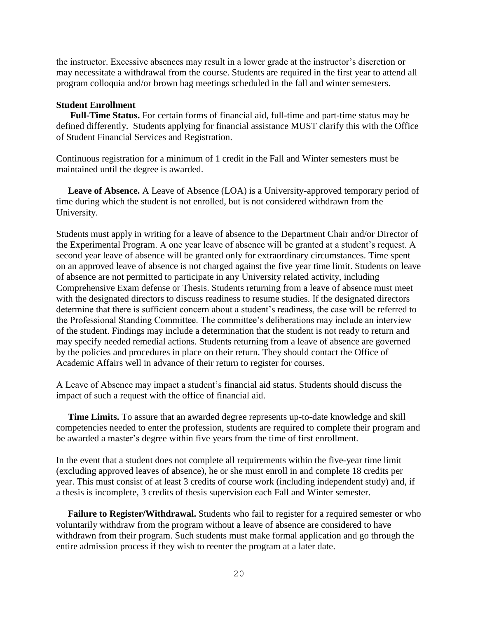the instructor. Excessive absences may result in a lower grade at the instructor's discretion or may necessitate a withdrawal from the course. Students are required in the first year to attend all program colloquia and/or brown bag meetings scheduled in the fall and winter semesters.

#### **Student Enrollment**

**Full-Time Status.** For certain forms of financial aid, full-time and part-time status may be defined differently. Students applying for financial assistance MUST clarify this with the Office of Student Financial Services and Registration.

Continuous registration for a minimum of 1 credit in the Fall and Winter semesters must be maintained until the degree is awarded.

 **Leave of Absence.** A Leave of Absence (LOA) is a University-approved temporary period of time during which the student is not enrolled, but is not considered withdrawn from the University.

Students must apply in writing for a leave of absence to the Department Chair and/or Director of the Experimental Program. A one year leave of absence will be granted at a student's request. A second year leave of absence will be granted only for extraordinary circumstances. Time spent on an approved leave of absence is not charged against the five year time limit. Students on leave of absence are not permitted to participate in any University related activity, including Comprehensive Exam defense or Thesis. Students returning from a leave of absence must meet with the designated directors to discuss readiness to resume studies. If the designated directors determine that there is sufficient concern about a student's readiness, the case will be referred to the Professional Standing Committee. The committee's deliberations may include an interview of the student. Findings may include a determination that the student is not ready to return and may specify needed remedial actions. Students returning from a leave of absence are governed by the policies and procedures in place on their return. They should contact the Office of Academic Affairs well in advance of their return to register for courses.

A Leave of Absence may impact a student's financial aid status. Students should discuss the impact of such a request with the office of financial aid.

 **Time Limits.** To assure that an awarded degree represents up-to-date knowledge and skill competencies needed to enter the profession, students are required to complete their program and be awarded a master's degree within five years from the time of first enrollment.

In the event that a student does not complete all requirements within the five-year time limit (excluding approved leaves of absence), he or she must enroll in and complete 18 credits per year. This must consist of at least 3 credits of course work (including independent study) and, if a thesis is incomplete, 3 credits of thesis supervision each Fall and Winter semester.

 **Failure to Register/Withdrawal.** Students who fail to register for a required semester or who voluntarily withdraw from the program without a leave of absence are considered to have withdrawn from their program. Such students must make formal application and go through the entire admission process if they wish to reenter the program at a later date.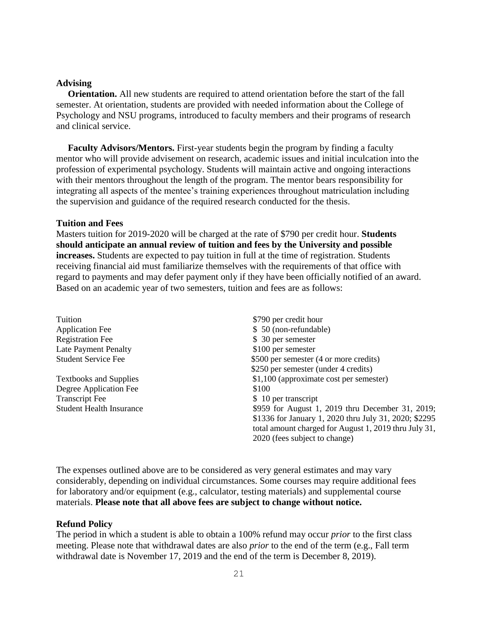#### **Advising**

 **Orientation.** All new students are required to attend orientation before the start of the fall semester. At orientation, students are provided with needed information about the College of Psychology and NSU programs, introduced to faculty members and their programs of research and clinical service.

 **Faculty Advisors/Mentors.** First-year students begin the program by finding a faculty mentor who will provide advisement on research, academic issues and initial inculcation into the profession of experimental psychology. Students will maintain active and ongoing interactions with their mentors throughout the length of the program. The mentor bears responsibility for integrating all aspects of the mentee's training experiences throughout matriculation including the supervision and guidance of the required research conducted for the thesis.

#### **Tuition and Fees**

Masters tuition for 2019-2020 will be charged at the rate of \$790 per credit hour. **Students should anticipate an annual review of tuition and fees by the University and possible increases.** Students are expected to pay tuition in full at the time of registration. Students receiving financial aid must familiarize themselves with the requirements of that office with regard to payments and may defer payment only if they have been officially notified of an award. Based on an academic year of two semesters, tuition and fees are as follows:

| Tuition                         | \$790 per credit hour                                 |
|---------------------------------|-------------------------------------------------------|
| <b>Application Fee</b>          | \$ 50 (non-refundable)                                |
| <b>Registration Fee</b>         | \$ 30 per semester                                    |
| <b>Late Payment Penalty</b>     | \$100 per semester                                    |
| <b>Student Service Fee</b>      | \$500 per semester (4 or more credits)                |
|                                 | \$250 per semester (under 4 credits)                  |
| <b>Textbooks and Supplies</b>   | \$1,100 (approximate cost per semester)               |
| Degree Application Fee          | \$100                                                 |
| <b>Transcript Fee</b>           | \$ 10 per transcript                                  |
| <b>Student Health Insurance</b> | \$959 for August 1, 2019 thru December 31, 2019;      |
|                                 | \$1336 for January 1, 2020 thru July 31, 2020; \$2295 |
|                                 | total amount charged for August 1, 2019 thru July 31, |
|                                 | 2020 (fees subject to change)                         |

The expenses outlined above are to be considered as very general estimates and may vary considerably, depending on individual circumstances. Some courses may require additional fees for laboratory and/or equipment (e.g., calculator, testing materials) and supplemental course materials. **Please note that all above fees are subject to change without notice.**

#### **Refund Policy**

The period in which a student is able to obtain a 100% refund may occur *prior* to the first class meeting. Please note that withdrawal dates are also *prior* to the end of the term (e.g., Fall term withdrawal date is November 17, 2019 and the end of the term is December 8, 2019).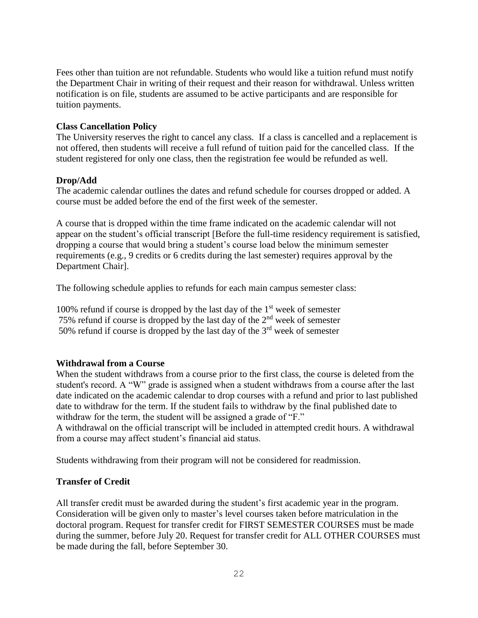Fees other than tuition are not refundable. Students who would like a tuition refund must notify the Department Chair in writing of their request and their reason for withdrawal. Unless written notification is on file, students are assumed to be active participants and are responsible for tuition payments.

#### **Class Cancellation Policy**

The University reserves the right to cancel any class. If a class is cancelled and a replacement is not offered, then students will receive a full refund of tuition paid for the cancelled class. If the student registered for only one class, then the registration fee would be refunded as well.

#### **Drop/Add**

The academic calendar outlines the dates and refund schedule for courses dropped or added. A course must be added before the end of the first week of the semester.

A course that is dropped within the time frame indicated on the academic calendar will not appear on the student's official transcript [Before the full-time residency requirement is satisfied, dropping a course that would bring a student's course load below the minimum semester requirements (e.g., 9 credits or 6 credits during the last semester) requires approval by the Department Chair].

The following schedule applies to refunds for each main campus semester class:

100% refund if course is dropped by the last day of the  $1<sup>st</sup>$  week of semester 75% refund if course is dropped by the last day of the  $2<sup>nd</sup>$  week of semester 50% refund if course is dropped by the last day of the  $3<sup>rd</sup>$  week of semester

#### **Withdrawal from a Course**

When the student withdraws from a course prior to the first class, the course is deleted from the student's record. A "W" grade is assigned when a student withdraws from a course after the last date indicated on the academic calendar to drop courses with a refund and prior to last published date to withdraw for the term. If the student fails to withdraw by the final published date to withdraw for the term, the student will be assigned a grade of "F."

A withdrawal on the official transcript will be included in attempted credit hours. A withdrawal from a course may affect student's financial aid status.

Students withdrawing from their program will not be considered for readmission.

#### **Transfer of Credit**

All transfer credit must be awarded during the student's first academic year in the program. Consideration will be given only to master's level courses taken before matriculation in the doctoral program. Request for transfer credit for FIRST SEMESTER COURSES must be made during the summer, before July 20. Request for transfer credit for ALL OTHER COURSES must be made during the fall, before September 30.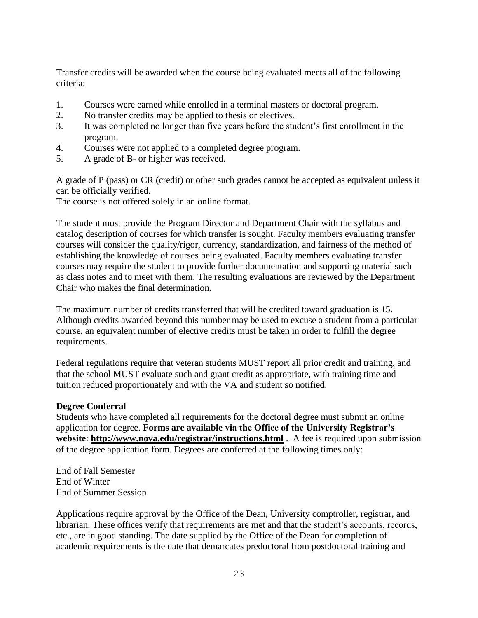Transfer credits will be awarded when the course being evaluated meets all of the following criteria:

- 1. Courses were earned while enrolled in a terminal masters or doctoral program.
- 2. No transfer credits may be applied to thesis or electives.
- 3. It was completed no longer than five years before the student's first enrollment in the program.
- 4. Courses were not applied to a completed degree program.
- 5. A grade of B- or higher was received.

A grade of P (pass) or CR (credit) or other such grades cannot be accepted as equivalent unless it can be officially verified.

The course is not offered solely in an online format.

The student must provide the Program Director and Department Chair with the syllabus and catalog description of courses for which transfer is sought. Faculty members evaluating transfer courses will consider the quality/rigor, currency, standardization, and fairness of the method of establishing the knowledge of courses being evaluated. Faculty members evaluating transfer courses may require the student to provide further documentation and supporting material such as class notes and to meet with them. The resulting evaluations are reviewed by the Department Chair who makes the final determination.

The maximum number of credits transferred that will be credited toward graduation is 15. Although credits awarded beyond this number may be used to excuse a student from a particular course, an equivalent number of elective credits must be taken in order to fulfill the degree requirements.

Federal regulations require that veteran students MUST report all prior credit and training, and that the school MUST evaluate such and grant credit as appropriate, with training time and tuition reduced proportionately and with the VA and student so notified.

#### **Degree Conferral**

Students who have completed all requirements for the doctoral degree must submit an online application for degree. **Forms are available via the Office of the University Registrar's website**: **<http://www.nova.edu/registrar/instructions.html>** . A fee is required upon submission of the degree application form. Degrees are conferred at the following times only:

End of Fall Semester End of Winter End of Summer Session

Applications require approval by the Office of the Dean, University comptroller, registrar, and librarian. These offices verify that requirements are met and that the student's accounts, records, etc., are in good standing. The date supplied by the Office of the Dean for completion of academic requirements is the date that demarcates predoctoral from postdoctoral training and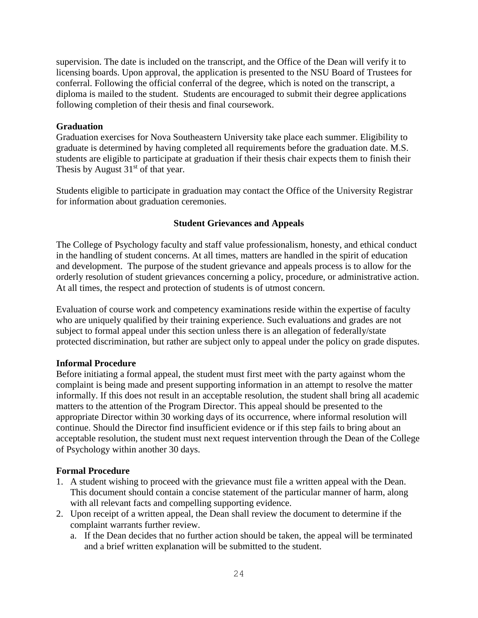supervision. The date is included on the transcript, and the Office of the Dean will verify it to licensing boards. Upon approval, the application is presented to the NSU Board of Trustees for conferral. Following the official conferral of the degree, which is noted on the transcript, a diploma is mailed to the student. Students are encouraged to submit their degree applications following completion of their thesis and final coursework.

#### **Graduation**

Graduation exercises for Nova Southeastern University take place each summer. Eligibility to graduate is determined by having completed all requirements before the graduation date. M.S. students are eligible to participate at graduation if their thesis chair expects them to finish their Thesis by August  $31<sup>st</sup>$  of that year.

Students eligible to participate in graduation may contact the Office of the University Registrar for information about graduation ceremonies.

#### **Student Grievances and Appeals**

The College of Psychology faculty and staff value professionalism, honesty, and ethical conduct in the handling of student concerns. At all times, matters are handled in the spirit of education and development. The purpose of the student grievance and appeals process is to allow for the orderly resolution of student grievances concerning a policy, procedure, or administrative action. At all times, the respect and protection of students is of utmost concern.

Evaluation of course work and competency examinations reside within the expertise of faculty who are uniquely qualified by their training experience. Such evaluations and grades are not subject to formal appeal under this section unless there is an allegation of federally/state protected discrimination, but rather are subject only to appeal under the policy on grade disputes.

#### **Informal Procedure**

Before initiating a formal appeal, the student must first meet with the party against whom the complaint is being made and present supporting information in an attempt to resolve the matter informally. If this does not result in an acceptable resolution, the student shall bring all academic matters to the attention of the Program Director. This appeal should be presented to the appropriate Director within 30 working days of its occurrence, where informal resolution will continue. Should the Director find insufficient evidence or if this step fails to bring about an acceptable resolution, the student must next request intervention through the Dean of the College of Psychology within another 30 days.

#### **Formal Procedure**

- 1. A student wishing to proceed with the grievance must file a written appeal with the Dean. This document should contain a concise statement of the particular manner of harm, along with all relevant facts and compelling supporting evidence.
- 2. Upon receipt of a written appeal, the Dean shall review the document to determine if the complaint warrants further review.
	- a. If the Dean decides that no further action should be taken, the appeal will be terminated and a brief written explanation will be submitted to the student.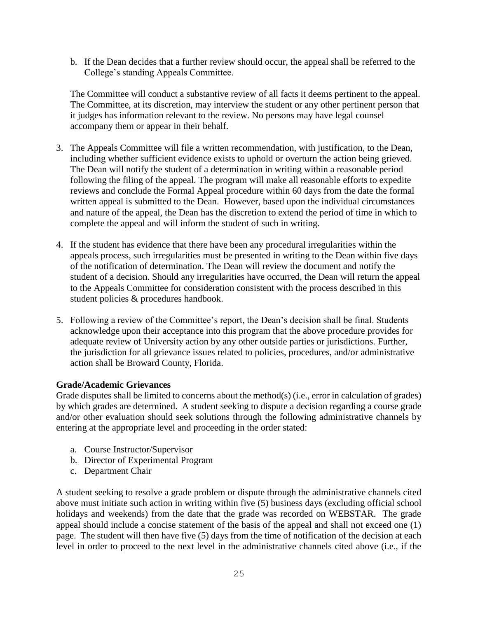b. If the Dean decides that a further review should occur, the appeal shall be referred to the College's standing Appeals Committee.

The Committee will conduct a substantive review of all facts it deems pertinent to the appeal. The Committee, at its discretion, may interview the student or any other pertinent person that it judges has information relevant to the review. No persons may have legal counsel accompany them or appear in their behalf.

- 3. The Appeals Committee will file a written recommendation, with justification, to the Dean, including whether sufficient evidence exists to uphold or overturn the action being grieved. The Dean will notify the student of a determination in writing within a reasonable period following the filing of the appeal. The program will make all reasonable efforts to expedite reviews and conclude the Formal Appeal procedure within 60 days from the date the formal written appeal is submitted to the Dean. However, based upon the individual circumstances and nature of the appeal, the Dean has the discretion to extend the period of time in which to complete the appeal and will inform the student of such in writing.
- 4. If the student has evidence that there have been any procedural irregularities within the appeals process, such irregularities must be presented in writing to the Dean within five days of the notification of determination. The Dean will review the document and notify the student of a decision. Should any irregularities have occurred, the Dean will return the appeal to the Appeals Committee for consideration consistent with the process described in this student policies & procedures handbook.
- 5. Following a review of the Committee's report, the Dean's decision shall be final. Students acknowledge upon their acceptance into this program that the above procedure provides for adequate review of University action by any other outside parties or jurisdictions. Further, the jurisdiction for all grievance issues related to policies, procedures, and/or administrative action shall be Broward County, Florida.

#### **Grade/Academic Grievances**

Grade disputes shall be limited to concerns about the method(s) (i.e., error in calculation of grades) by which grades are determined. A student seeking to dispute a decision regarding a course grade and/or other evaluation should seek solutions through the following administrative channels by entering at the appropriate level and proceeding in the order stated:

- a. Course Instructor/Supervisor
- b. Director of Experimental Program
- c. Department Chair

A student seeking to resolve a grade problem or dispute through the administrative channels cited above must initiate such action in writing within five (5) business days (excluding official school holidays and weekends) from the date that the grade was recorded on WEBSTAR. The grade appeal should include a concise statement of the basis of the appeal and shall not exceed one (1) page. The student will then have five (5) days from the time of notification of the decision at each level in order to proceed to the next level in the administrative channels cited above (i.e., if the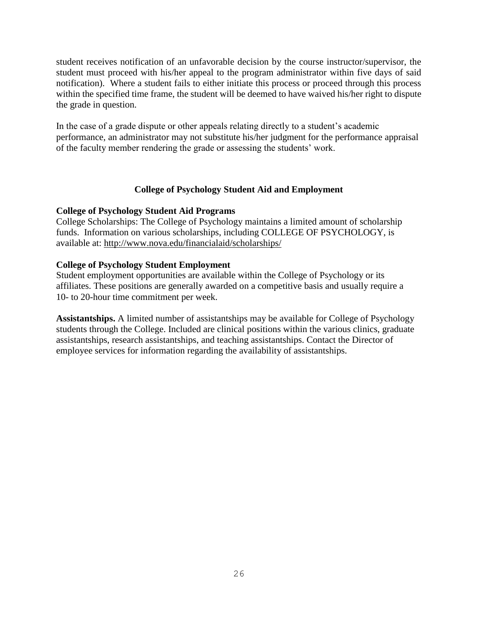student receives notification of an unfavorable decision by the course instructor/supervisor, the student must proceed with his/her appeal to the program administrator within five days of said notification). Where a student fails to either initiate this process or proceed through this process within the specified time frame, the student will be deemed to have waived his/her right to dispute the grade in question.

In the case of a grade dispute or other appeals relating directly to a student's academic performance, an administrator may not substitute his/her judgment for the performance appraisal of the faculty member rendering the grade or assessing the students' work.

#### **College of Psychology Student Aid and Employment**

#### **College of Psychology Student Aid Programs**

College Scholarships: The College of Psychology maintains a limited amount of scholarship funds. Information on various scholarships, including COLLEGE OF PSYCHOLOGY, is available at:<http://www.nova.edu/financialaid/scholarships/>

#### **College of Psychology Student Employment**

Student employment opportunities are available within the College of Psychology or its affiliates. These positions are generally awarded on a competitive basis and usually require a 10- to 20-hour time commitment per week.

**Assistantships.** A limited number of assistantships may be available for College of Psychology students through the College. Included are clinical positions within the various clinics, graduate assistantships, research assistantships, and teaching assistantships. Contact the Director of employee services for information regarding the availability of assistantships.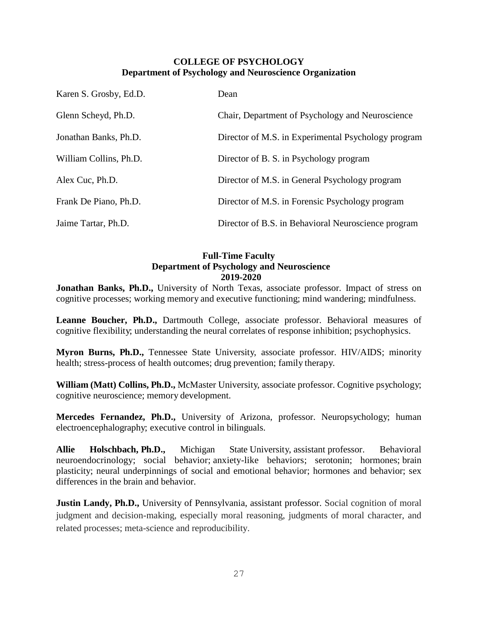#### **COLLEGE OF PSYCHOLOGY Department of Psychology and Neuroscience Organization**

| Karen S. Grosby, Ed.D. | Dean                                                |
|------------------------|-----------------------------------------------------|
| Glenn Scheyd, Ph.D.    | Chair, Department of Psychology and Neuroscience    |
| Jonathan Banks, Ph.D.  | Director of M.S. in Experimental Psychology program |
| William Collins, Ph.D. | Director of B. S. in Psychology program             |
| Alex Cuc, Ph.D.        | Director of M.S. in General Psychology program      |
| Frank De Piano, Ph.D.  | Director of M.S. in Forensic Psychology program     |
| Jaime Tartar, Ph.D.    | Director of B.S. in Behavioral Neuroscience program |

#### **Full-Time Faculty Department of Psychology and Neuroscience 2019-2020**

**Jonathan Banks, Ph.D.,** University of North Texas, associate professor. Impact of stress on cognitive processes; working memory and executive functioning; mind wandering; mindfulness.

**Leanne Boucher, Ph.D.,** Dartmouth College, associate professor. Behavioral measures of cognitive flexibility; understanding the neural correlates of response inhibition; psychophysics.

**Myron Burns, Ph.D.,** Tennessee State University, associate professor. HIV/AIDS; minority health; stress-process of health outcomes; drug prevention; family therapy.

**William (Matt) Collins, Ph.D.,** McMaster University, associate professor. Cognitive psychology; cognitive neuroscience; memory development.

**Mercedes Fernandez, Ph.D.,** University of Arizona, professor. Neuropsychology; human electroencephalography; executive control in bilinguals.

**Allie Holschbach, Ph.D.,** Michigan State University, assistant professor. Behavioral neuroendocrinology; social behavior; anxiety-like behaviors; serotonin; hormones; brain plasticity; neural underpinnings of social and emotional behavior; hormones and behavior; sex differences in the brain and behavior.

**Justin Landy, Ph.D.,** University of Pennsylvania, assistant professor. Social cognition of moral judgment and decision-making, especially moral reasoning, judgments of moral character, and related processes; meta-science and reproducibility.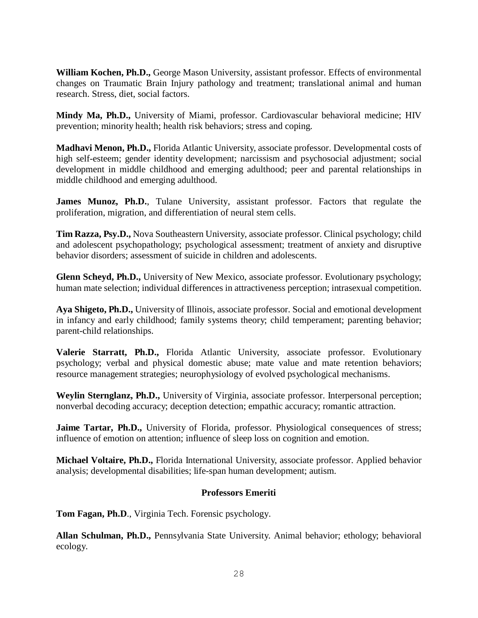**William Kochen, Ph.D.,** George Mason University, assistant professor. Effects of environmental changes on Traumatic Brain Injury pathology and treatment; translational animal and human research. Stress, diet, social factors.

**Mindy Ma, Ph.D.,** University of Miami, professor. Cardiovascular behavioral medicine; HIV prevention; minority health; health risk behaviors; stress and coping.

**Madhavi Menon, Ph.D.,** Florida Atlantic University, associate professor. Developmental costs of high self-esteem; gender identity development; narcissism and psychosocial adjustment; social development in middle childhood and emerging adulthood; peer and parental relationships in middle childhood and emerging adulthood.

James Munoz, Ph.D., Tulane University, assistant professor. Factors that regulate the proliferation, migration, and differentiation of neural stem cells.

**Tim Razza, Psy.D.,** Nova Southeastern University, associate professor. Clinical psychology; child and adolescent psychopathology; psychological assessment; treatment of anxiety and disruptive behavior disorders; assessment of suicide in children and adolescents.

**Glenn Scheyd, Ph.D.,** University of New Mexico, associate professor. Evolutionary psychology; human mate selection; individual differences in attractiveness perception; intrasexual competition.

**Aya Shigeto, Ph.D.,** University of Illinois, associate professor. Social and emotional development in infancy and early childhood; family systems theory; child temperament; parenting behavior; parent-child relationships.

**Valerie Starratt, Ph.D.,** Florida Atlantic University, associate professor. Evolutionary psychology; verbal and physical domestic abuse; mate value and mate retention behaviors; resource management strategies; neurophysiology of evolved psychological mechanisms.

**Weylin Sternglanz, Ph.D.,** University of Virginia, associate professor. Interpersonal perception; nonverbal decoding accuracy; deception detection; empathic accuracy; romantic attraction.

**Jaime Tartar, Ph.D.,** University of Florida, professor. Physiological consequences of stress; influence of emotion on attention; influence of sleep loss on cognition and emotion.

**Michael Voltaire, Ph.D.,** Florida International University, associate professor. Applied behavior analysis; developmental disabilities; life-span human development; autism.

#### **Professors Emeriti**

**Tom Fagan, Ph.D**., Virginia Tech. Forensic psychology.

**Allan Schulman, Ph.D.,** Pennsylvania State University. Animal behavior; ethology; behavioral ecology.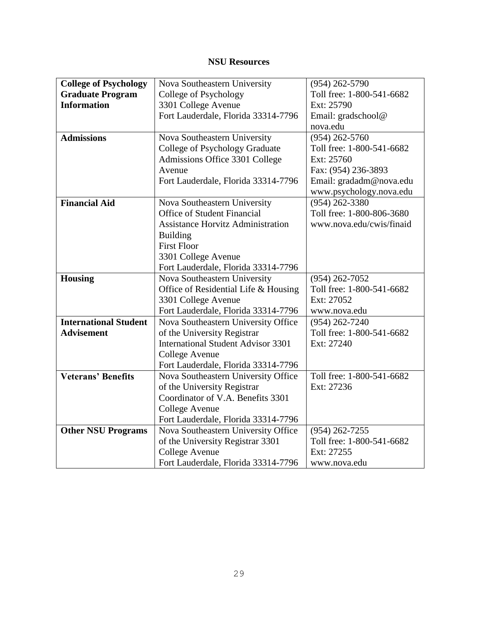### **NSU Resources**

| <b>College of Psychology</b> | Nova Southeastern University              | $(954)$ 262-5790          |
|------------------------------|-------------------------------------------|---------------------------|
| <b>Graduate Program</b>      | College of Psychology                     | Toll free: 1-800-541-6682 |
| <b>Information</b>           | 3301 College Avenue                       | Ext: 25790                |
|                              | Fort Lauderdale, Florida 33314-7796       | Email: gradschool@        |
|                              |                                           | nova.edu                  |
| <b>Admissions</b>            | Nova Southeastern University              | $(954)$ 262-5760          |
|                              | College of Psychology Graduate            | Toll free: 1-800-541-6682 |
|                              | Admissions Office 3301 College            | Ext: 25760                |
|                              | Avenue                                    | Fax: (954) 236-3893       |
|                              | Fort Lauderdale, Florida 33314-7796       | Email: gradadm@nova.edu   |
|                              |                                           | www.psychology.nova.edu   |
| <b>Financial Aid</b>         | Nova Southeastern University              | $(954)$ 262-3380          |
|                              | <b>Office of Student Financial</b>        | Toll free: 1-800-806-3680 |
|                              | <b>Assistance Horvitz Administration</b>  | www.nova.edu/cwis/finaid  |
|                              | <b>Building</b>                           |                           |
|                              | <b>First Floor</b>                        |                           |
|                              | 3301 College Avenue                       |                           |
|                              | Fort Lauderdale, Florida 33314-7796       |                           |
| Housing                      | Nova Southeastern University              | $(954)$ 262-7052          |
|                              | Office of Residential Life & Housing      | Toll free: 1-800-541-6682 |
|                              | 3301 College Avenue                       | Ext: 27052                |
|                              | Fort Lauderdale, Florida 33314-7796       | www.nova.edu              |
| <b>International Student</b> | Nova Southeastern University Office       | $(954)$ 262-7240          |
| <b>Advisement</b>            | of the University Registrar               | Toll free: 1-800-541-6682 |
|                              | <b>International Student Advisor 3301</b> | Ext: 27240                |
|                              | College Avenue                            |                           |
|                              | Fort Lauderdale, Florida 33314-7796       |                           |
| <b>Veterans' Benefits</b>    | Nova Southeastern University Office       | Toll free: 1-800-541-6682 |
|                              | of the University Registrar               | Ext: 27236                |
|                              | Coordinator of V.A. Benefits 3301         |                           |
|                              | College Avenue                            |                           |
|                              | Fort Lauderdale, Florida 33314-7796       |                           |
| <b>Other NSU Programs</b>    | Nova Southeastern University Office       | $(954)$ 262-7255          |
|                              | of the University Registrar 3301          | Toll free: 1-800-541-6682 |
|                              | College Avenue                            | Ext: 27255                |
|                              | Fort Lauderdale, Florida 33314-7796       | www.nova.edu              |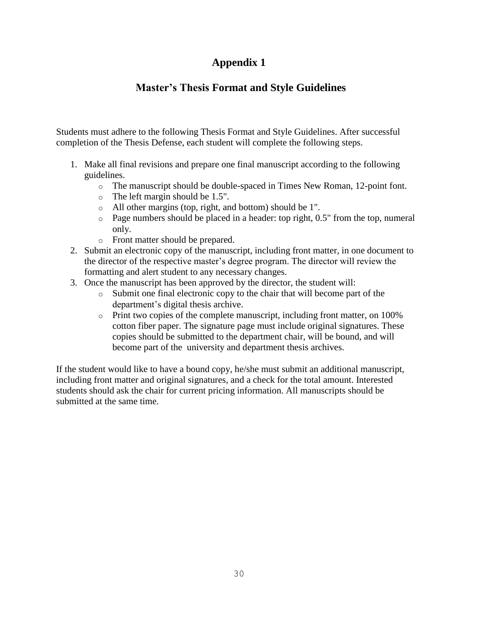### **Appendix 1**

### **Master's Thesis Format and Style Guidelines**

Students must adhere to the following Thesis Format and Style Guidelines. After successful completion of the Thesis Defense, each student will complete the following steps.

- 1. Make all final revisions and prepare one final manuscript according to the following guidelines.
	- o The manuscript should be double-spaced in Times New Roman, 12-point font.
	- o The left margin should be 1.5".
	- o All other margins (top, right, and bottom) should be 1".
	- o Page numbers should be placed in a header: top right, 0.5" from the top, numeral only.
	- o Front matter should be prepared.
- 2. Submit an electronic copy of the manuscript, including front matter, in one document to the director of the respective master's degree program. The director will review the formatting and alert student to any necessary changes.
- 3. Once the manuscript has been approved by the director, the student will:
	- o Submit one final electronic copy to the chair that will become part of the department's digital thesis archive.
	- o Print two copies of the complete manuscript, including front matter, on 100% cotton fiber paper. The signature page must include original signatures. These copies should be submitted to the department chair, will be bound, and will become part of the university and department thesis archives.

If the student would like to have a bound copy, he/she must submit an additional manuscript, including front matter and original signatures, and a check for the total amount. Interested students should ask the chair for current pricing information. All manuscripts should be submitted at the same time.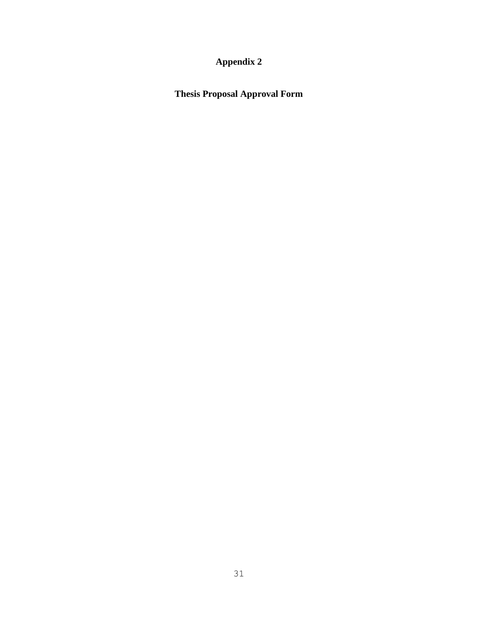### **Appendix 2**

**Thesis Proposal Approval Form**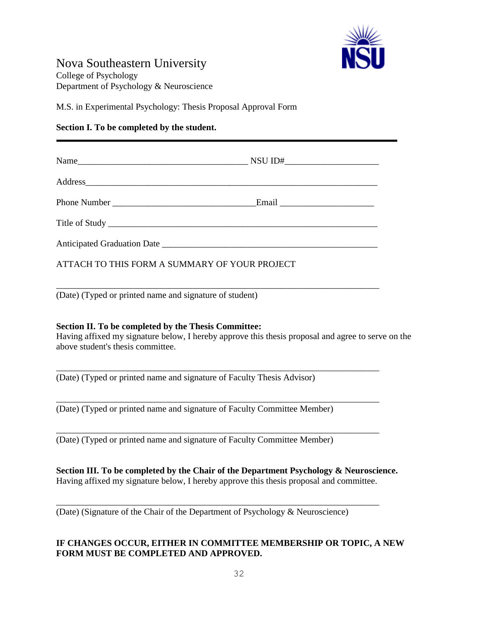

### Nova Southeastern University

College of Psychology Department of Psychology & Neuroscience

M.S. in Experimental Psychology: Thesis Proposal Approval Form

#### **Section I. To be completed by the student.**

| ATTACH TO THIS FORM A SUMMARY OF YOUR PROJECT |  |
|-----------------------------------------------|--|

\_\_\_\_\_\_\_\_\_\_\_\_\_\_\_\_\_\_\_\_\_\_\_\_\_\_\_\_\_\_\_\_\_\_\_\_\_\_\_\_\_\_\_\_\_\_\_\_\_\_\_\_\_\_\_\_\_\_\_\_\_\_\_\_\_\_\_\_\_\_\_\_

(Date) (Typed or printed name and signature of student)

#### **Section II. To be completed by the Thesis Committee:**

Having affixed my signature below, I hereby approve this thesis proposal and agree to serve on the above student's thesis committee.

\_\_\_\_\_\_\_\_\_\_\_\_\_\_\_\_\_\_\_\_\_\_\_\_\_\_\_\_\_\_\_\_\_\_\_\_\_\_\_\_\_\_\_\_\_\_\_\_\_\_\_\_\_\_\_\_\_\_\_\_\_\_\_\_\_\_\_\_\_\_\_\_

\_\_\_\_\_\_\_\_\_\_\_\_\_\_\_\_\_\_\_\_\_\_\_\_\_\_\_\_\_\_\_\_\_\_\_\_\_\_\_\_\_\_\_\_\_\_\_\_\_\_\_\_\_\_\_\_\_\_\_\_\_\_\_\_\_\_\_\_\_\_\_\_

\_\_\_\_\_\_\_\_\_\_\_\_\_\_\_\_\_\_\_\_\_\_\_\_\_\_\_\_\_\_\_\_\_\_\_\_\_\_\_\_\_\_\_\_\_\_\_\_\_\_\_\_\_\_\_\_\_\_\_\_\_\_\_\_\_\_\_\_\_\_\_\_

(Date) (Typed or printed name and signature of Faculty Thesis Advisor)

(Date) (Typed or printed name and signature of Faculty Committee Member)

(Date) (Typed or printed name and signature of Faculty Committee Member)

**Section III. To be completed by the Chair of the Department Psychology & Neuroscience.**  Having affixed my signature below, I hereby approve this thesis proposal and committee.

\_\_\_\_\_\_\_\_\_\_\_\_\_\_\_\_\_\_\_\_\_\_\_\_\_\_\_\_\_\_\_\_\_\_\_\_\_\_\_\_\_\_\_\_\_\_\_\_\_\_\_\_\_\_\_\_\_\_\_\_\_\_\_\_\_\_\_\_\_\_\_\_

(Date) (Signature of the Chair of the Department of Psychology & Neuroscience)

#### **IF CHANGES OCCUR, EITHER IN COMMITTEE MEMBERSHIP OR TOPIC, A NEW FORM MUST BE COMPLETED AND APPROVED.**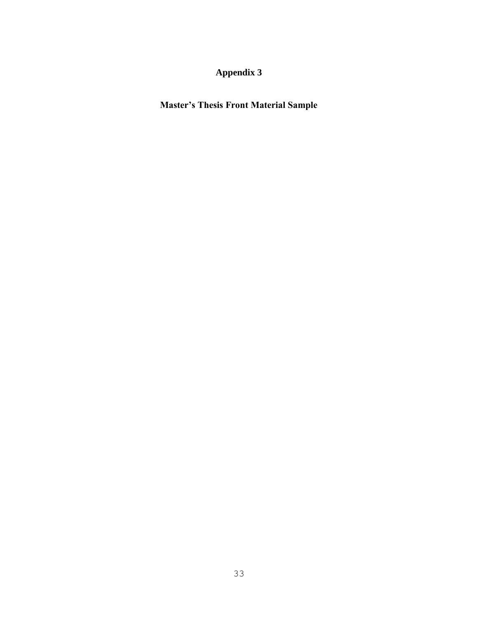### **Appendix 3**

**Master's Thesis Front Material Sample**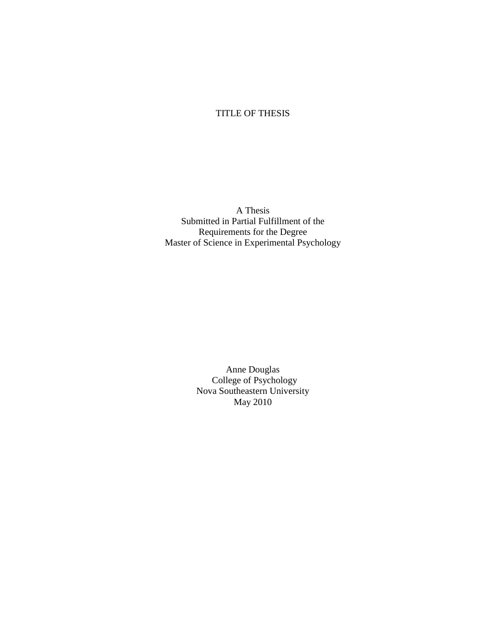### TITLE OF THESIS

A Thesis Submitted in Partial Fulfillment of the Requirements for the Degree Master of Science in Experimental Psychology

> Anne Douglas College of Psychology Nova Southeastern University May 2010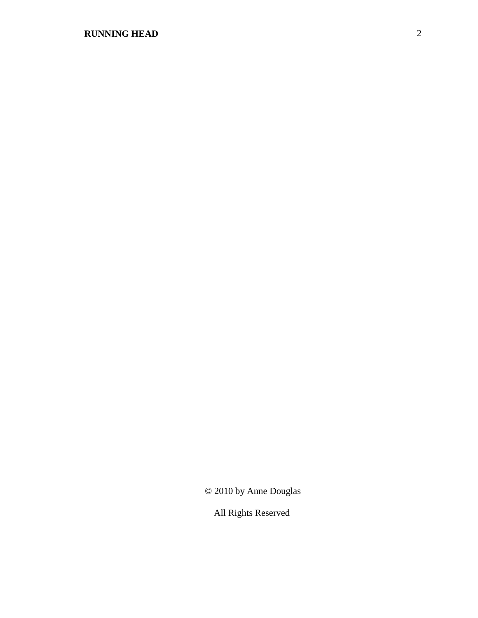### **RUNNING HEAD** 2

© 2010 by Anne Douglas

All Rights Reserved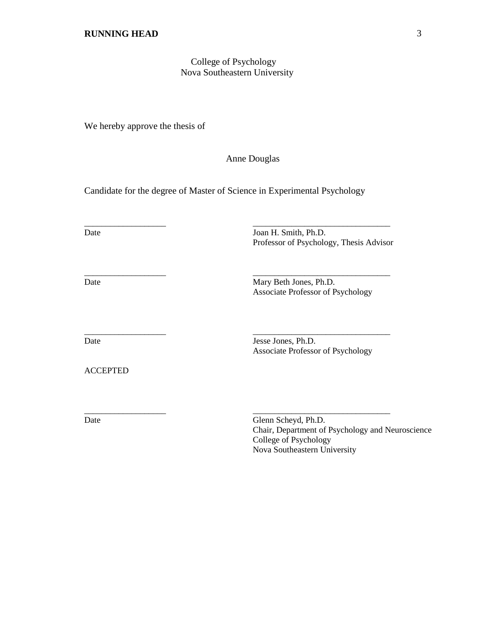#### College of Psychology Nova Southeastern University

We hereby approve the thesis of

Anne Douglas

Candidate for the degree of Master of Science in Experimental Psychology

\_\_\_\_\_\_\_\_\_\_\_\_\_\_\_\_\_\_\_ \_\_\_\_\_\_\_\_\_\_\_\_\_\_\_\_\_\_\_\_\_\_\_\_\_\_\_\_\_\_\_\_

\_\_\_\_\_\_\_\_\_\_\_\_\_\_\_\_\_\_\_ \_\_\_\_\_\_\_\_\_\_\_\_\_\_\_\_\_\_\_\_\_\_\_\_\_\_\_\_\_\_\_\_

\_\_\_\_\_\_\_\_\_\_\_\_\_\_\_\_\_\_\_ \_\_\_\_\_\_\_\_\_\_\_\_\_\_\_\_\_\_\_\_\_\_\_\_\_\_\_\_\_\_\_\_

\_\_\_\_\_\_\_\_\_\_\_\_\_\_\_\_\_\_\_ \_\_\_\_\_\_\_\_\_\_\_\_\_\_\_\_\_\_\_\_\_\_\_\_\_\_\_\_\_\_\_\_

Date Joan H. Smith, Ph.D. Professor of Psychology, Thesis Advisor

Date Mary Beth Jones, Ph.D. Associate Professor of Psychology

ACCEPTED

Date Jones, Ph.D. Associate Professor of Psychology

Date Glenn Scheyd, Ph.D. Chair, Department of Psychology and Neuroscience College of Psychology Nova Southeastern University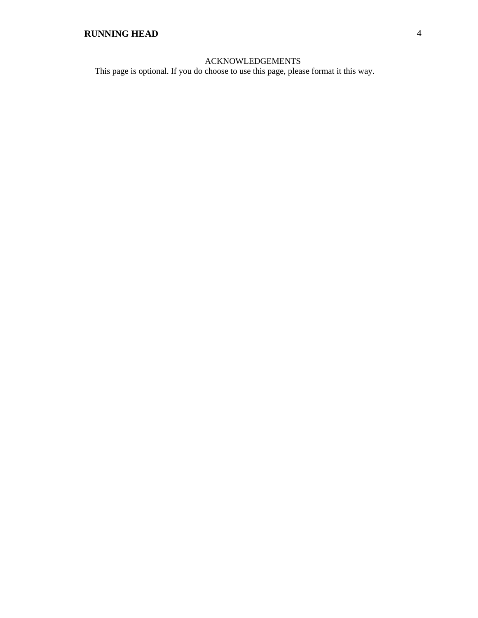#### ACKNOWLEDGEMENTS

This page is optional. If you do choose to use this page, please format it this way.